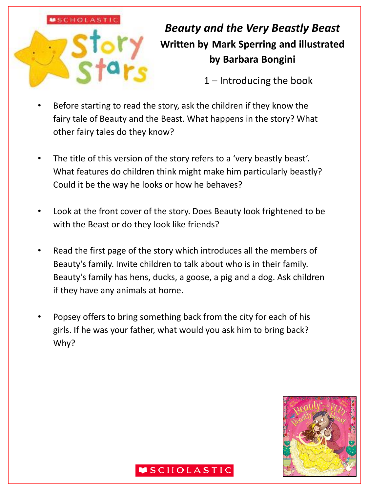# **MSCHOLASTIC**

# *Beauty and the Very Beastly Beast* **Written by Mark Sperring and illustrated by Barbara Bongini**

1 – Introducing the book

- Before starting to read the story, ask the children if they know the fairy tale of Beauty and the Beast. What happens in the story? What other fairy tales do they know?
- The title of this version of the story refers to a 'very beastly beast'. What features do children think might make him particularly beastly? Could it be the way he looks or how he behaves?
- Look at the front cover of the story. Does Beauty look frightened to be with the Beast or do they look like friends?
- Read the first page of the story which introduces all the members of Beauty's family. Invite children to talk about who is in their family. Beauty's family has hens, ducks, a goose, a pig and a dog. Ask children if they have any animals at home.
- Popsey offers to bring something back from the city for each of his girls. If he was your father, what would you ask him to bring back? Why?

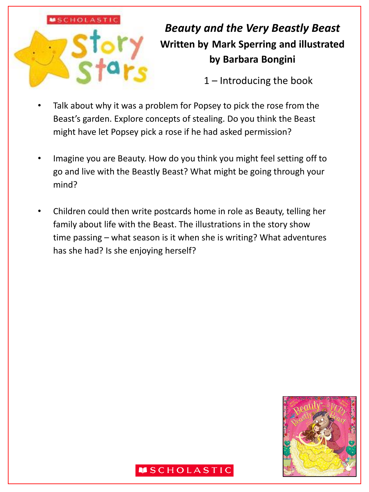

# *Beauty and the Very Beastly Beast* **Written by Mark Sperring and illustrated by Barbara Bongini**

1 – Introducing the book

- Talk about why it was a problem for Popsey to pick the rose from the Beast's garden. Explore concepts of stealing. Do you think the Beast might have let Popsey pick a rose if he had asked permission?
- Imagine you are Beauty. How do you think you might feel setting off to go and live with the Beastly Beast? What might be going through your mind?
- Children could then write postcards home in role as Beauty, telling her family about life with the Beast. The illustrations in the story show time passing – what season is it when she is writing? What adventures has she had? Is she enjoying herself?

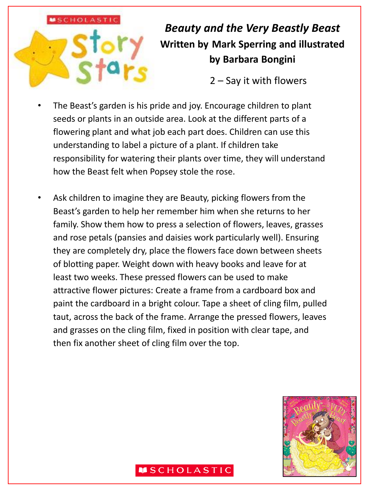# **MSCHOLASTIC**

# *Beauty and the Very Beastly Beast* **Written by Mark Sperring and illustrated by Barbara Bongini**

2 – Say it with flowers

- The Beast's garden is his pride and joy. Encourage children to plant seeds or plants in an outside area. Look at the different parts of a flowering plant and what job each part does. Children can use this understanding to label a picture of a plant. If children take responsibility for watering their plants over time, they will understand how the Beast felt when Popsey stole the rose.
- Ask children to imagine they are Beauty, picking flowers from the Beast's garden to help her remember him when she returns to her family. Show them how to press a selection of flowers, leaves, grasses and rose petals (pansies and daisies work particularly well). Ensuring they are completely dry, place the flowers face down between sheets of blotting paper. Weight down with heavy books and leave for at least two weeks. These pressed flowers can be used to make attractive flower pictures: Create a frame from a cardboard box and paint the cardboard in a bright colour. Tape a sheet of cling film, pulled taut, across the back of the frame. Arrange the pressed flowers, leaves and grasses on the cling film, fixed in position with clear tape, and then fix another sheet of cling film over the top.